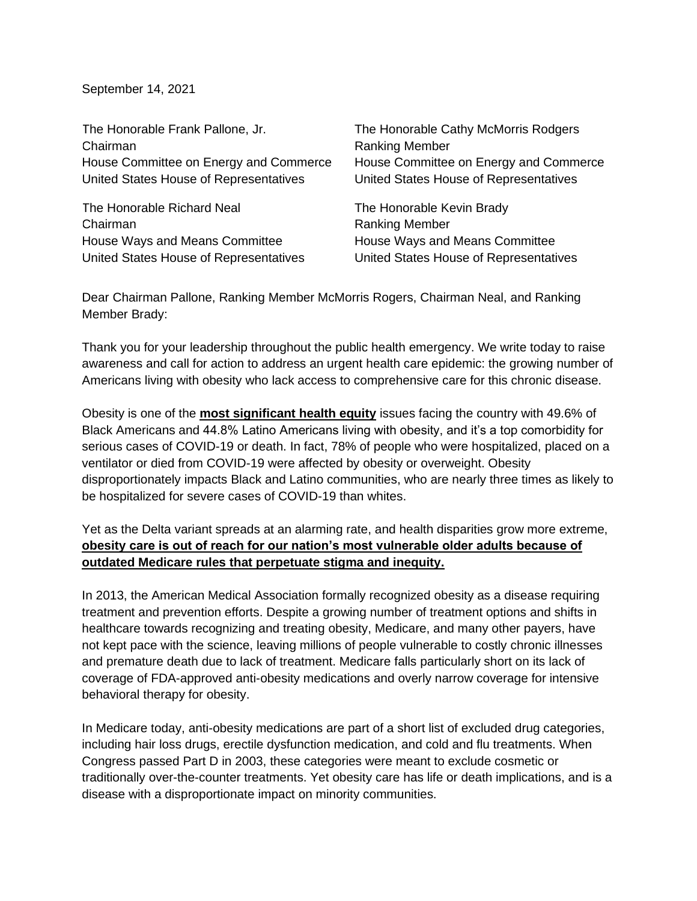September 14, 2021

| The Honorable Frank Pallone, Jr.       | The Honorable Cathy McMorris Rodgers   |
|----------------------------------------|----------------------------------------|
| Chairman                               | <b>Ranking Member</b>                  |
| House Committee on Energy and Commerce | House Committee on Energy and Commerce |
| United States House of Representatives | United States House of Representatives |
| The Honorable Richard Neal             | The Honorable Kevin Brady              |
| Chairman                               | <b>Ranking Member</b>                  |
| House Ways and Means Committee         | House Ways and Means Committee         |
| United States House of Representatives | United States House of Representatives |

Dear Chairman Pallone, Ranking Member McMorris Rogers, Chairman Neal, and Ranking Member Brady:

Thank you for your leadership throughout the public health emergency. We write today to raise awareness and call for action to address an urgent health care epidemic: the growing number of Americans living with obesity who lack access to comprehensive care for this chronic disease.

Obesity is one of the **most significant health equity** issues facing the country with 49.6% of Black Americans and 44.8% Latino Americans living with obesity, and it's a top comorbidity for serious cases of COVID-19 or death. In fact, 78% of people who were hospitalized, placed on a ventilator or died from COVID-19 were affected by obesity or overweight. Obesity disproportionately impacts Black and Latino communities, who are nearly three times as likely to be hospitalized for severe cases of COVID-19 than whites.

Yet as the Delta variant spreads at an alarming rate, and health disparities grow more extreme, **obesity care is out of reach for our nation's most vulnerable older adults because of outdated Medicare rules that perpetuate stigma and inequity.**

In 2013, the American Medical Association formally recognized obesity as a disease requiring treatment and prevention efforts. Despite a growing number of treatment options and shifts in healthcare towards recognizing and treating obesity, Medicare, and many other payers, have not kept pace with the science, leaving millions of people vulnerable to costly chronic illnesses and premature death due to lack of treatment. Medicare falls particularly short on its lack of coverage of FDA-approved anti-obesity medications and overly narrow coverage for intensive behavioral therapy for obesity.

In Medicare today, anti-obesity medications are part of a short list of excluded drug categories, including hair loss drugs, erectile dysfunction medication, and cold and flu treatments. When Congress passed Part D in 2003, these categories were meant to exclude cosmetic or traditionally over-the-counter treatments. Yet obesity care has life or death implications, and is a disease with a disproportionate impact on minority communities.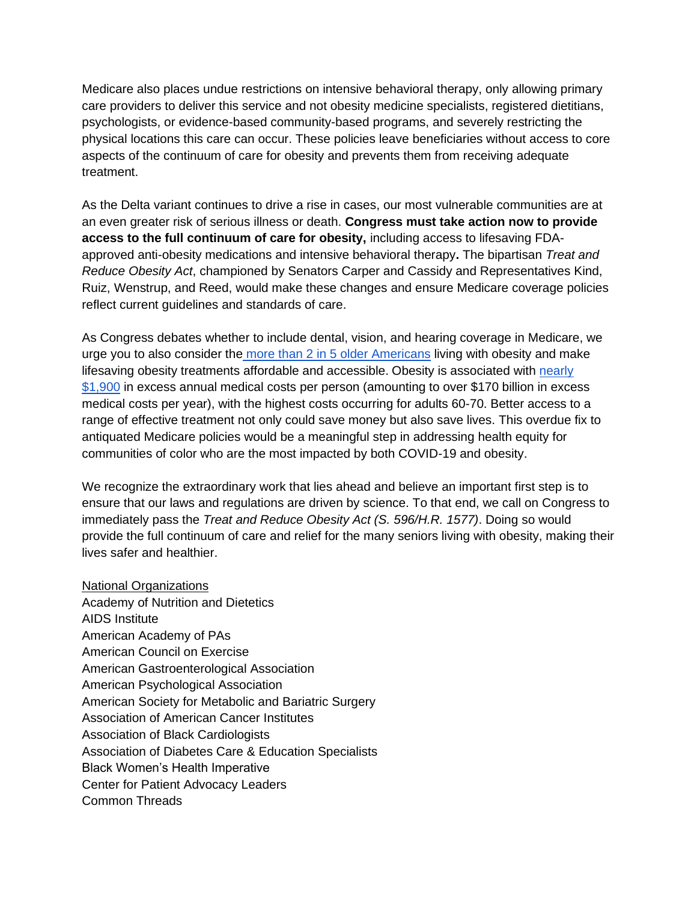Medicare also places undue restrictions on intensive behavioral therapy, only allowing primary care providers to deliver this service and not obesity medicine specialists, registered dietitians, psychologists, or evidence-based community-based programs, and severely restricting the physical locations this care can occur. These policies leave beneficiaries without access to core aspects of the continuum of care for obesity and prevents them from receiving adequate treatment.

As the Delta variant continues to drive a rise in cases, our most vulnerable communities are at an even greater risk of serious illness or death. **Congress must take action now to provide access to the full continuum of care for obesity,** including access to lifesaving FDAapproved anti-obesity medications and intensive behavioral therapy**.** The bipartisan *Treat and Reduce Obesity Act*, championed by Senators Carper and Cassidy and Representatives Kind, Ruiz, Wenstrup, and Reed, would make these changes and ensure Medicare coverage policies reflect current guidelines and standards of care.

As Congress debates whether to include dental, vision, and hearing coverage in Medicare, we urge you to also consider the [more than 2 in 5 older Americans](https://www.cdc.gov/obesity/data/adult.html) living with obesity and make lifesaving obesity treatments affordable and accessible. Obesity is associated with [nearly](https://journals.plos.org/plosone/article?id=10.1371/journal.pone.0247307#pone-0247307-t001)  [\\$1,900](https://journals.plos.org/plosone/article?id=10.1371/journal.pone.0247307#pone-0247307-t001) in excess annual medical costs per person (amounting to over \$170 billion in excess medical costs per year), with the highest costs occurring for adults 60-70. Better access to a range of effective treatment not only could save money but also save lives. This overdue fix to antiquated Medicare policies would be a meaningful step in addressing health equity for communities of color who are the most impacted by both COVID-19 and obesity.

We recognize the extraordinary work that lies ahead and believe an important first step is to ensure that our laws and regulations are driven by science. To that end, we call on Congress to immediately pass the *Treat and Reduce Obesity Act (S. 596/H.R. 1577)*. Doing so would provide the full continuum of care and relief for the many seniors living with obesity, making their lives safer and healthier.

National Organizations Academy of Nutrition and Dietetics AIDS Institute American Academy of PAs American Council on Exercise American Gastroenterological Association American Psychological Association American Society for Metabolic and Bariatric Surgery Association of American Cancer Institutes Association of Black Cardiologists Association of Diabetes Care & Education Specialists Black Women's Health Imperative Center for Patient Advocacy Leaders Common Threads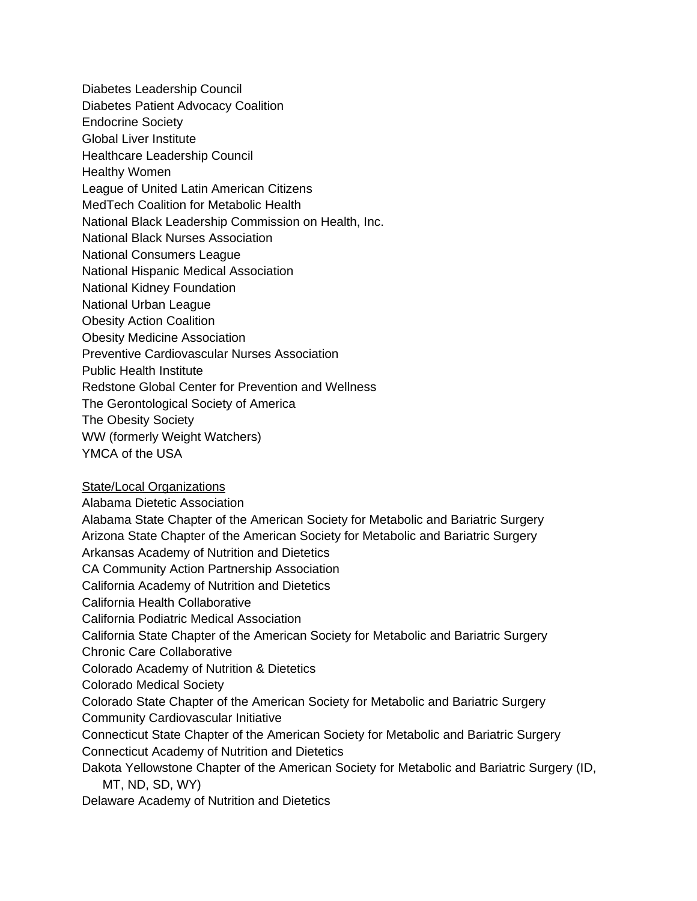Diabetes Leadership Council Diabetes Patient Advocacy Coalition Endocrine Society Global Liver Institute Healthcare Leadership Council Healthy Women League of United Latin American Citizens MedTech Coalition for Metabolic Health National Black Leadership Commission on Health, Inc. National Black Nurses Association National Consumers League National Hispanic Medical Association National Kidney Foundation National Urban League Obesity Action Coalition Obesity Medicine Association Preventive Cardiovascular Nurses Association Public Health Institute Redstone Global Center for Prevention and Wellness The Gerontological Society of America The Obesity Society WW (formerly Weight Watchers) YMCA of the USA

## **State/Local Organizations**

Alabama Dietetic Association

Alabama State Chapter of the American Society for Metabolic and Bariatric Surgery

Arizona State Chapter of the American Society for Metabolic and Bariatric Surgery

Arkansas Academy of Nutrition and Dietetics

CA Community Action Partnership Association

California Academy of Nutrition and Dietetics

California Health Collaborative

California Podiatric Medical Association

California State Chapter of the American Society for Metabolic and Bariatric Surgery Chronic Care Collaborative

Colorado Academy of Nutrition & Dietetics

Colorado Medical Society

Colorado State Chapter of the American Society for Metabolic and Bariatric Surgery

Community Cardiovascular Initiative

Connecticut State Chapter of the American Society for Metabolic and Bariatric Surgery Connecticut Academy of Nutrition and Dietetics

Dakota Yellowstone Chapter of the American Society for Metabolic and Bariatric Surgery (ID, MT, ND, SD, WY)

Delaware Academy of Nutrition and Dietetics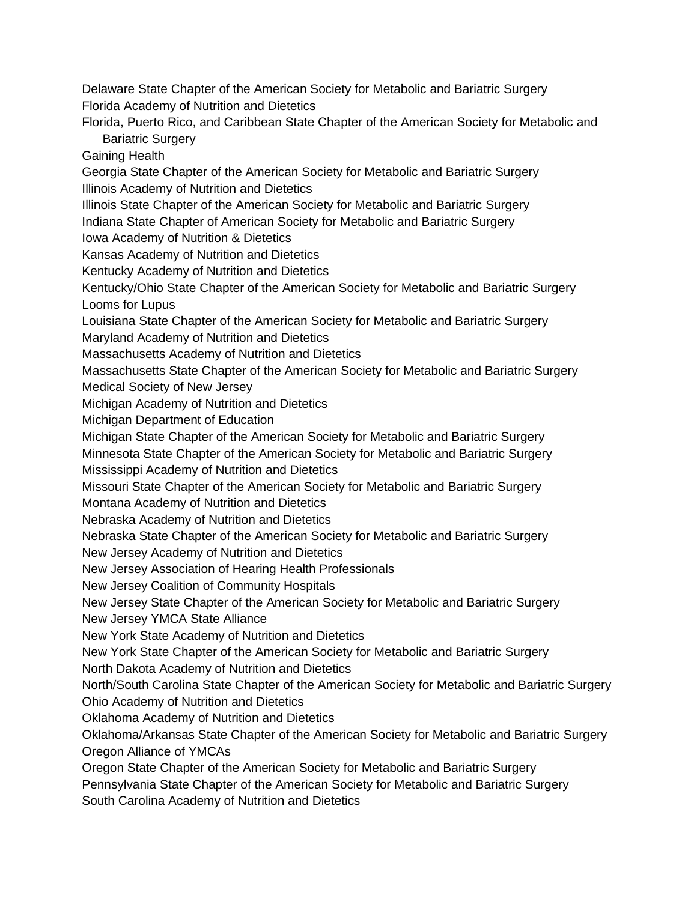Delaware State Chapter of the American Society for Metabolic and Bariatric Surgery Florida Academy of Nutrition and Dietetics

Florida, Puerto Rico, and Caribbean State Chapter of the American Society for Metabolic and Bariatric Surgery

Gaining Health

Georgia State Chapter of the American Society for Metabolic and Bariatric Surgery Illinois Academy of Nutrition and Dietetics

Illinois State Chapter of the American Society for Metabolic and Bariatric Surgery

Indiana State Chapter of American Society for Metabolic and Bariatric Surgery

Iowa Academy of Nutrition & Dietetics

Kansas Academy of Nutrition and Dietetics

Kentucky Academy of Nutrition and Dietetics

Kentucky/Ohio State Chapter of the American Society for Metabolic and Bariatric Surgery Looms for Lupus

Louisiana State Chapter of the American Society for Metabolic and Bariatric Surgery

Maryland Academy of Nutrition and Dietetics

Massachusetts Academy of Nutrition and Dietetics

Massachusetts State Chapter of the American Society for Metabolic and Bariatric Surgery Medical Society of New Jersey

Michigan Academy of Nutrition and Dietetics

Michigan Department of Education

Michigan State Chapter of the American Society for Metabolic and Bariatric Surgery

Minnesota State Chapter of the American Society for Metabolic and Bariatric Surgery

Mississippi Academy of Nutrition and Dietetics

Missouri State Chapter of the American Society for Metabolic and Bariatric Surgery

Montana Academy of Nutrition and Dietetics

Nebraska Academy of Nutrition and Dietetics

Nebraska State Chapter of the American Society for Metabolic and Bariatric Surgery

New Jersey Academy of Nutrition and Dietetics

New Jersey Association of Hearing Health Professionals

New Jersey Coalition of Community Hospitals

New Jersey State Chapter of the American Society for Metabolic and Bariatric Surgery

New Jersey YMCA State Alliance

New York State Academy of Nutrition and Dietetics

New York State Chapter of the American Society for Metabolic and Bariatric Surgery

North Dakota Academy of Nutrition and Dietetics

North/South Carolina State Chapter of the American Society for Metabolic and Bariatric Surgery Ohio Academy of Nutrition and Dietetics

Oklahoma Academy of Nutrition and Dietetics

Oklahoma/Arkansas State Chapter of the American Society for Metabolic and Bariatric Surgery Oregon Alliance of YMCAs

Oregon State Chapter of the American Society for Metabolic and Bariatric Surgery

Pennsylvania State Chapter of the American Society for Metabolic and Bariatric Surgery

South Carolina Academy of Nutrition and Dietetics